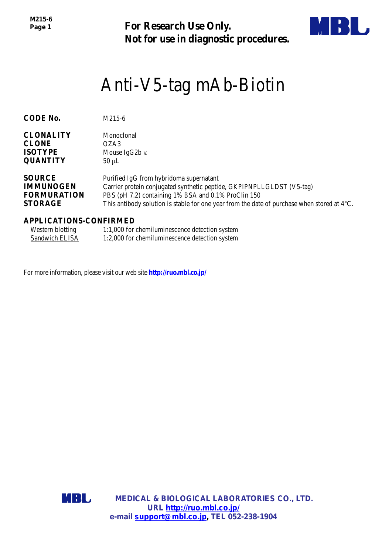*M215-6 Page 1*

**For Research Use Only. Not for use in diagnostic procedures.**



# Anti-V5-tag mAb-Biotin

| <b>CODE No.</b>    | M215-6                                                                                                |
|--------------------|-------------------------------------------------------------------------------------------------------|
|                    |                                                                                                       |
| <b>CLONALITY</b>   | Monoclonal                                                                                            |
| <b>CLONE</b>       | OZA3                                                                                                  |
| <b>ISOTYPE</b>     | Mouse IgG2b $\kappa$                                                                                  |
| <b>QUANTITY</b>    | $50 \mu L$                                                                                            |
| <b>SOURCE</b>      | Purified IgG from hybridoma supernatant                                                               |
| <b>IMMUNOGEN</b>   | Carrier protein conjugated synthetic peptide, GKPIPNPLLGLDST (V5-tag)                                 |
| <b>FORMURATION</b> | PBS (pH 7.2) containing 1% BSA and 0.1% ProClin 150                                                   |
| <b>STORAGE</b>     | This antibody solution is stable for one year from the date of purchase when stored at $4^{\circ}C$ . |

#### **APPLICATIONS-CONFIRMED**

| <b>Western blotting</b> | 1:1,000 for chemiluminescence detection system |
|-------------------------|------------------------------------------------|
| Sandwich ELISA          | 1:2,000 for chemiluminescence detection system |

For more information, please visit our web site **http://ruo.mbl.co.jp/**

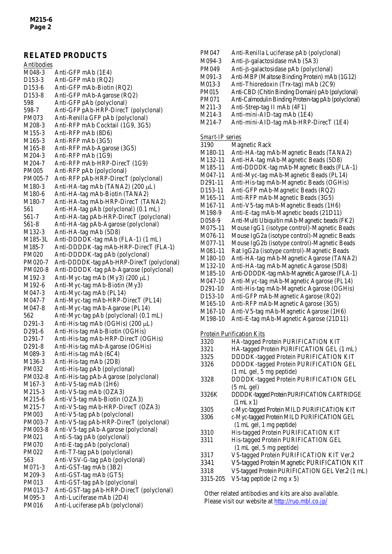#### **RELATED PRODUCTS**

| <b>Antibodies</b>             |                                                                           |
|-------------------------------|---------------------------------------------------------------------------|
| M048-3                        | Anti-GFP mAb (1E4)                                                        |
| D153-3                        | Anti-GFP mAb (RQ2)                                                        |
| D <sub>153</sub> -6           | Anti-GFP mAb-Biotin (RQ2)                                                 |
| D <sub>153</sub> -8           | Anti-GFP mAb-Agarose (RQ2)                                                |
| 598                           | Anti-GFP pAb (polyclonal)                                                 |
| 598-7                         | Anti-GFP pAb-HRP-DirecT (polyclonal)                                      |
| PM073                         | Anti-Renilla GFP pAb (polyclonal)                                         |
| M208-3                        | Anti-RFP mAb Cocktail (1G9, 3G5)                                          |
| M <sub>155</sub> -3           | Anti-RFP mAb (8D6)                                                        |
| M165-3                        | Anti-RFP mAb (3G5)                                                        |
| M165-8                        | Anti-RFP mAb-Agarose (3G5)                                                |
| M204-3                        | Anti-RFP mAb (1G9)                                                        |
| M204-7                        | Anti-RFP mAb-HRP-DirecT (1G9)                                             |
| PM005                         | Anti-RFP pAb (polyclonal)                                                 |
| PM005-7                       | Anti-RFP pAb-HRP-DirecT (polyclonal)                                      |
| M <sub>1</sub> 80-3           | Anti-HA-tag mAb (TANA2) (200 µL)                                          |
| M <sub>180</sub> -6           | Anti-HA-tag mAb-Biotin (TANA2)                                            |
|                               | Anti-HA-tag mAb-HRP-DirecT (TANA2)                                        |
| M <sub>1</sub> 80-7<br>561    |                                                                           |
| 561-7                         | Anti-HA-tag pAb (polyclonal) (0.1 mL)                                     |
|                               | Anti-HA-tag pAb-HRP-DirecT (polyclonal)                                   |
| 561-8                         | Anti-HA-tag pAb-Agarose (polyclonal)                                      |
| M132-3                        | Anti-HA-tag mAb (5D8)                                                     |
| M185-3L                       | Anti-DDDDK-tag mAb (FLA-1) (1 mL)                                         |
| M185-7                        | Anti-DDDDK-tag mAb-HRP-DirecT (FLA-1)                                     |
| <b>PM020</b>                  | Anti-DDDDK-tag pAb (polyclonal)                                           |
| PM020-7                       | Anti-DDDDK-tag pAb-HRP-DirecT (polyclonal)                                |
| PM020-8                       | Anti-DDDDK-tag pAb-Agarose (polyclonal)                                   |
| M192-3                        | Anti-Myc-tag mAb (My3) (200 µL)                                           |
| M <sub>192</sub> -6           | Anti-Myc-tag mAb-Biotin (My3)                                             |
| M047-3<br>M047-7              | Anti-Myc-tag mAb (PL14)<br>Anti-Myc-tag mAb-HRP-DirecT (PL14)             |
|                               |                                                                           |
| M047-8<br>562                 | Anti-Myc-tag mAb-Agarose (PL14)<br>Anti-Myc-tag pAb (polyclonal) (0.1 mL) |
|                               |                                                                           |
| D <sub>291</sub> -3           | Anti-His-tag mAb (OGHis) (200 µL)                                         |
| D <sub>291</sub> -6           | Anti-His-tag mAb-Biotin (OGHis)                                           |
| D <sub>291-7</sub>            | Anti-His-tag mAb-HRP-DirecT (OGHis)                                       |
| D <sub>291</sub> -8<br>M089-3 | Anti-His-tag mAb-Agarose (OGHis)                                          |
|                               | Anti-His-tag mAb (6C4)                                                    |
| M136-3                        | Anti-His-tag mAb (2D8)                                                    |
| PM032                         | Anti-His-tag pAb (polyclonal)                                             |
| PM032-8                       | Anti-His-tag pAb-Agarose (polyclonal)                                     |
| M167-3                        | Anti-V5-tag mAb (1H6)                                                     |
| M215-3                        | Anti-V5-tag mAb (OZA3)                                                    |
| M215-6                        | Anti-V5-tag mAb-Biotin (OZA3)                                             |
| M215-7                        | Anti-V5-tag mAb-HRP-DirecT (OZA3)<br>Anti-V5-tag pAb (polyclonal)         |
| PM003                         |                                                                           |
| PM003-7<br>PM003-8            | Anti-V5-tag pAb-HRP-DirecT (polyclonal)                                   |
|                               | Anti-V5-tag pAb-Agarose (polyclonal)                                      |
| PM021                         | Anti-S-tag pAb (polyclonal)                                               |
| PM070<br>PM022                | Anti-E-tag pAb (polyclonal)<br>Anti-T7-tag pAb (polyclonal)               |
| 563                           | Anti-VSV-G-tag pAb (polyclonal)                                           |
|                               | Anti-GST-tag mAb (3B2)                                                    |
| M071-3                        | Anti-GST-tag mAb (GT5)                                                    |
| M209-3<br>PM013               | Anti-GST-tag pAb (polyclonal)                                             |
| PM013-7                       | Anti-GST-tag pAb-HRP-DirecT (polyclonal)                                  |
| M095-3                        | Anti-Luciferase mAb (2D4)                                                 |
| PM016                         | Anti-Luciferase pAb (polyclonal)                                          |
|                               |                                                                           |

- PM047 Anti-Renilla Luciferase pAb (polyclonal)
- M094-3 Anti-β-galactosidase mAb (5A3)
- PM049 Anti-β-galactosidase pAb (polyclonal)
- Anti-MBP (Maltose Binding Protein) mAb (1G12)
- M013-3 Anti-Thioredoxin (Trx-tag) mAb (2C9)
- PM015 Anti-CBD (Chitin Binding Domain) pAb (polyclonal)
- PM071 Anti-Calmodulin Binding Protein-tag pAb (polyclonal)
- M211-3 Anti-Strep-tag II mAb (4F1)
- M214-3 Anti-mini-AID-tag mAb (1E4)
- M214-7 Anti-mini-AID-tag mAb-HRP-DirecT (1E4)

## **Smart-IP** series<br>3190 Mas

**Magnetic Rack** M180-11 Anti-HA-tag mAb-Magnetic Beads (TANA2) M132-11 Anti-HA-tag mAb-Magnetic Beads (5D8) M185-11 Anti-DDDDK-tag mAb-Magnetic Beads (FLA-1) M047-11 Anti-Myc-tag mAb-Magnetic Beads (PL14) D291-11 Anti-His-tag mAb-Magnetic Beads (OGHis)<br>D153-11 Anti-GFP mAb-Magnetic Beads (RO2) Anti-GFP mAb-Magnetic Beads (RO2) M165-11 Anti-RFP mAb-Magnetic Beads (3G5) M167-11 Anti-V5-tag mAb-Magnetic Beads (1H6)<br>M198-9 Anti-E-tag mAb-Magnetic beads (21D11) M198-9 Anti-E-tag mAb-Magnetic beads (21D11)<br>D058-9 Anti-Multi Ubiquitin mAb-Magnetic beads ( Anti-Multi Ubiquitin mAb-Magnetic beads (FK2) M075-11 [Mouse IgG1 \(isotype control\)-Magnetic Beads](http://ruo.mbl.co.jp/dtl/A/M075-9/) M076-11 Mouse IgG2a [\(isotype control\)-Magnetic Beads](http://ruo.mbl.co.jp/dtl/A/M075-9/) M077-11 Mouse IgG2b [\(isotype control\)-Magnetic Beads](http://ruo.mbl.co.jp/dtl/A/M075-9/) M081-11 Rat IgG2a [\(isotype control\)-Magnetic Beads](http://ruo.mbl.co.jp/dtl/A/M075-9/) M180-10 Anti-HA-tag mAb-Magnetic Agarose (TANA2) M132-10 Anti-HA-tag mAb-Magnetic Agarose (5D8) M185-10 Anti-DDDDK-tag mAb-Magnetic Agarose (FLA-1) M047-10 Anti-Myc-tag mAb-Magnetic Agarose (PL14) D291-10 Anti-His-tag mAb-Magnetic Agarose (OGHis) D153-10 Anti-GFP mAb-Magnetic Agarose (RQ2) M165-10 Anti-RFP mAb-Magnetic Agarose (3G5) M167-10 Anti-V5-tag mAb-Magnetic Agarose (1H6) M198-10 Anti-E-tag mAb-Magnetic Agarose (21D11) Protein Purification Kits 3320 HA-tagged Protein PURIFICATION KIT<br>3321 HA-tagged Protein PURIFICATION GEL ( 3321 HA-tagged Protein PURIFICATION GEL (1 mL) 3325 DDDDK-tagged Protein PURIFICATION KIT 3326 DDDDK-tagged Protein PURIFICATION GEL (1 mL gel, 5 mg peptide) 3328 DDDDK-tagged Protein PURIFICATION GEL (5 mL gel) 3326K DDDDK-taggedProteinPURIFICATION CARTRIDGE  $(1 mL x 1)$ 3305 c-Myc-tagged Protein MILD PURIFICATION KIT 3306 c-Myc-tagged Protein MILD PURIFICATION GEL (1 mL gel, 1 mg peptide) 3310 His-tagged Protein PURIFICATION KIT 3311 His-tagged Protein PURIFICATION GEL (1 mL gel, 5 mg peptide) 3317 V5-tagged Protein PURIFICATION KIT Ver.2 3341 V5-tagged Protein Magnetic PURIFICATION KIT 3318 [V5-tagged Protein PURIFICATION GELV](http://ruo.mbl.co.jp/dtl/P/3316/)er.2 (1 mL) 3315-205 V5-tag peptide (2 mg x 5) Other related antibodies and kits are also available.

Please visit our website at<http://ruo.mbl.co.jp/>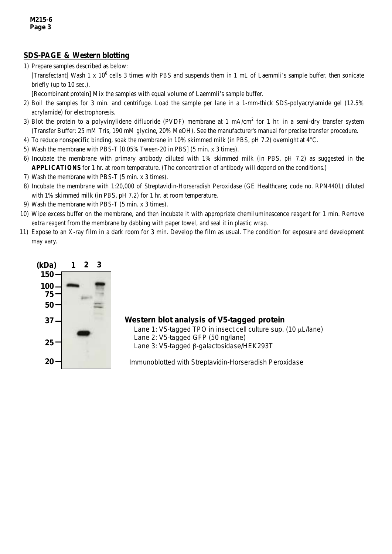### **SDS-PAGE & Western blotting**

1) Prepare samples described as below:

[Transfectant] Wash 1 x  $10^6$  cells 3 times with PBS and suspends them in 1 mL of Laemmli's sample buffer, then sonicate briefly (up to 10 sec.).

[Recombinant protein] Mix the samples with equal volume of Laemmli's sample buffer.

- 2) Boil the samples for 3 min. and centrifuge. Load the sample per lane in a 1-mm-thick SDS-polyacrylamide gel (12.5% acrylamide) for electrophoresis.
- 3) Blot the protein to a polyvinylidene difluoride (PVDF) membrane at 1 mA/cm<sup>2</sup> for 1 hr. in a semi-dry transfer system (Transfer Buffer: 25 mM Tris, 190 mM glycine, 20% MeOH). See the manufacturer's manual for precise transfer procedure.
- 4) To reduce nonspecific binding, soak the membrane in 10% skimmed milk (in PBS, pH 7.2) overnight at 4°C.
- 5) Wash the membrane with PBS-T [0.05% Tween-20 in PBS] (5 min. x 3 times).
- 6) Incubate the membrane with primary antibody diluted with 1% skimmed milk (in PBS, pH 7.2) as suggested in the **APPLICATIONS** for 1 hr. at room temperature. (The concentration of antibody will depend on the conditions.)
- 7) Wash the membrane with PBS-T (5 min. x 3 times).
- 8) Incubate the membrane with 1:20,000 of Streptavidin-Horseradish Peroxidase (GE Healthcare; code no. RPN4401) diluted with 1% skimmed milk (in PBS, pH 7.2) for 1 hr. at room temperature.
- 9) Wash the membrane with PBS-T (5 min. x 3 times).
- 10) Wipe excess buffer on the membrane, and then incubate it with appropriate chemiluminescence reagent for 1 min. Remove extra reagent from the membrane by dabbing with paper towel, and seal it in plastic wrap.
- 11) Expose to an X-ray film in a dark room for 3 min. Develop the film as usual. The condition for exposure and development may vary.



#### *Western blot analysis of V5-tagged protein*

Lane 1: V5-tagged TPO in insect cell culture sup. (10 µL/lane) Lane 2: V5-tagged GFP (50 ng/lane) Lane 3: V5-tagged β-galactosidase/HEK293T

Immunoblotted with Streptavidin-Horseradish Peroxidase